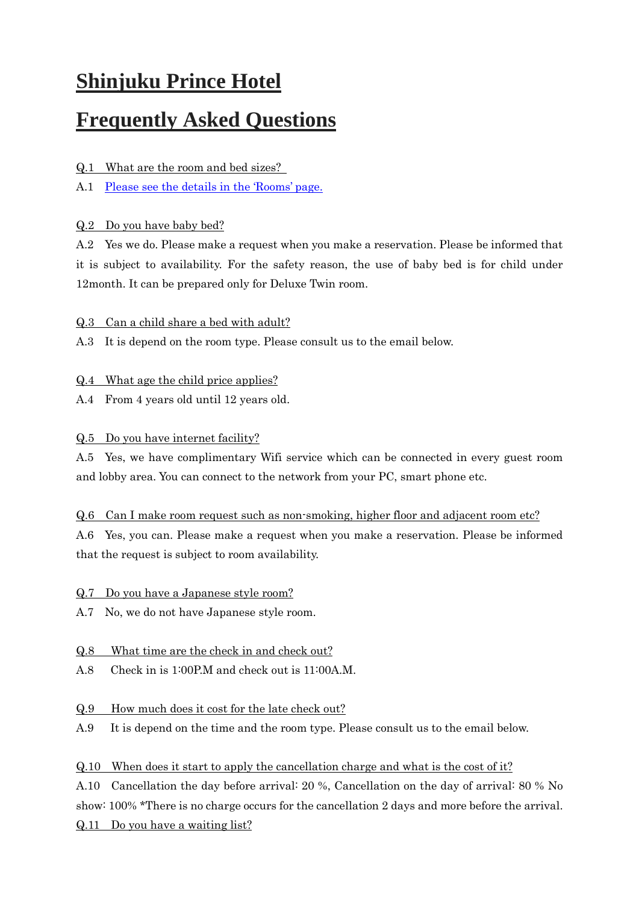# **Shinjuku Prince Hotel**

## **Frequently Asked Questions**

Q.1 What are the room and bed sizes?

A.1 [Please see the details in the](http://www.princehotels.com/shinjuku/guest-rooms/) 'Rooms' page.

#### Q.2 Do you have baby bed?

A.2 Yes we do. Please make a request when you make a reservation. Please be informed that it is subject to availability. For the safety reason, the use of baby bed is for child under 12month. It can be prepared only for Deluxe Twin room.

#### Q.3 Can a child share a bed with adult?

A.3 It is depend on the room type. Please consult us to the email below.

#### Q.4 What age the child price applies?

A.4 From 4 years old until 12 years old.

#### Q.5 Do you have internet facility?

A.5 Yes, we have complimentary Wifi service which can be connected in every guest room and lobby area. You can connect to the network from your PC, smart phone etc.

#### Q.6 Can I make room request such as non-smoking, higher floor and adjacent room etc?

A.6 Yes, you can. Please make a request when you make a reservation. Please be informed that the request is subject to room availability.

#### Q.7 Do you have a Japanese style room?

A.7 No, we do not have Japanese style room.

#### Q.8 What time are the check in and check out?

A.8 Check in is 1:00P.M and check out is 11:00A.M.

#### Q.9 How much does it cost for the late check out?

A.9 It is depend on the time and the room type. Please consult us to the email below.

#### Q.10 When does it start to apply the cancellation charge and what is the cost of it?

A.10 Cancellation the day before arrival: 20 %, Cancellation on the day of arrival: 80 % No show: 100% \*There is no charge occurs for the cancellation 2 days and more before the arrival. Q.11 Do you have a waiting list?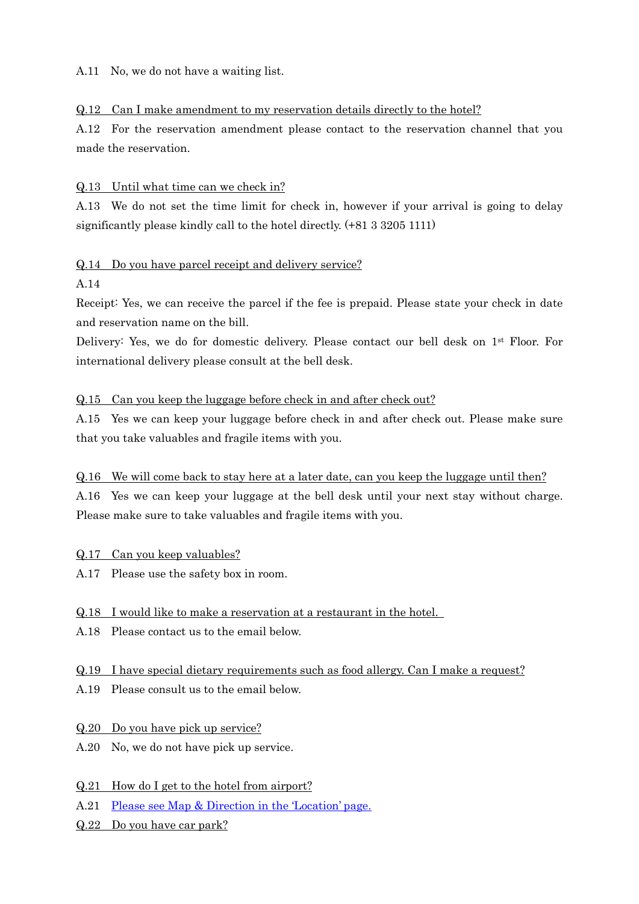A.11 No, we do not have a waiting list.

#### Q.12 Can I make amendment to my reservation details directly to the hotel?

A.12 For the reservation amendment please contact to the reservation channel that you made the reservation.

#### Q.13 Until what time can we check in?

A.13 We do not set the time limit for check in, however if your arrival is going to delay significantly please kindly call to the hotel directly. (+81 3 3205 1111)

#### Q.14 Do you have parcel receipt and delivery service?

#### A.14

Receipt: Yes, we can receive the parcel if the fee is prepaid. Please state your check in date and reservation name on the bill.

Delivery: Yes, we do for domestic delivery. Please contact our bell desk on 1st Floor. For international delivery please consult at the bell desk.

#### Q.15 Can you keep the luggage before check in and after check out?

A.15 Yes we can keep your luggage before check in and after check out. Please make sure that you take valuables and fragile items with you.

#### Q.16 We will come back to stay here at a later date, can you keep the luggage until then?

A.16 Yes we can keep your luggage at the bell desk until your next stay without charge. Please make sure to take valuables and fragile items with you.

#### Q.17 Can you keep valuables?

A.17 Please use the safety box in room.

#### Q.18 I would like to make a reservation at a restaurant in the hotel.

A.18 Please contact us to the email below.

#### Q.19 I have special dietary requirements such as food allergy. Can I make a request?

A.19 Please consult us to the email below.

#### Q.20 Do you have pick up service?

A.20 No, we do not have pick up service.

#### Q.21 How do I get to the hotel from airport?

- A.21 [Please see Map & Direction in the](http://www.princehotels.com/shinjuku/map-direction/) 'Location' page.
- Q.22 Do you have car park?